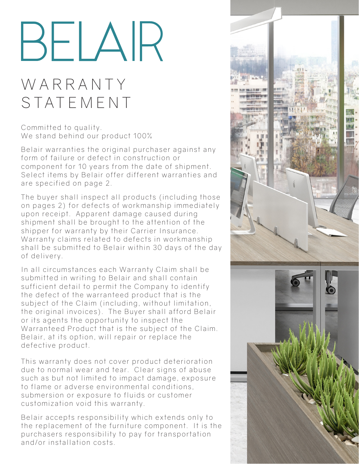# BELAIR

# W A R R A N T Y STATEMENT

Committed to quality. We stand behind our product 100%

Belair warranties the original purchaser against any form of failure or defect in construction or component for 10 years from the date of shipment. Select items by Belair offer different warranties and are specified on page 2.

The buyer shall inspect all products (including those on pages 2) for defects of workmanship immediately upon receipt. Apparent damage caused during shipment shall be brought to the attention of the shipper for warranty by their Carrier Insurance. Warranty claims related to defects in workmanship shall be submitted to Belair within 30 days of the day of delivery.

In all circumstances each Warranty Claim shall be submitted in writing to Belair and shall contain sufficient detail to permit the Company to identify the defect of the warranteed product that is the subject of the Claim (including, without limitation, the original invoices). The Buyer shall afford Belair or its agents the opportunity to inspect the Warranteed Product that is the subject of the Claim. Belair, at its option, will repair or replace the defective product.

This warranty does not cover product deterioration due to normal wear and tear. Clear signs of abuse such as but not limited to impact damage, exposure to flame or adverse environmental conditions, submersion or exposure to fluids or customer customization void this warranty.

Belair accepts responsibility which extends only to the replacement of the furniture component. It is the purchasers responsibility to pay for transportation and/or installation costs.